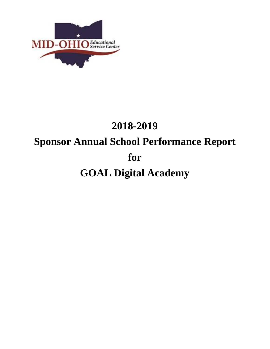

# **2018-2019 Sponsor Annual School Performance Report for GOAL Digital Academy**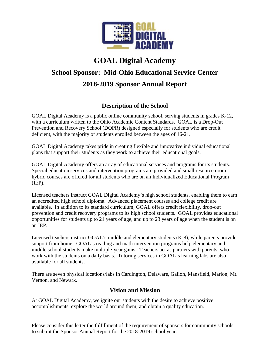

## **GOAL Digital Academy**

# **School Sponsor: Mid-Ohio Educational Service Center 2018-2019 Sponsor Annual Report**

## **Description of the School**

GOAL Digital Academy is a public online community school, serving students in grades K-12, with a curriculum written to the Ohio Academic Content Standards. GOAL is a Drop-Out Prevention and Recovery School (DOPR) designed especially for students who are credit deficient, with the majority of students enrolled between the ages of 16-21.

GOAL Digital Academy takes pride in creating flexible and innovative individual educational plans that support their students as they work to achieve their educational goals.

GOAL Digital Academy offers an array of educational services and programs for its students. Special education services and intervention programs are provided and small resource room hybrid courses are offered for all students who are on an Individualized Educational Program (IEP).

Licensed teachers instruct GOAL Digital Academy's high school students, enabling them to earn an accredited high school diploma. Advanced placement courses and college credit are available. In addition to its standard curriculum, GOAL offers credit flexibility, drop-out prevention and credit recovery programs to its high school students. GOAL provides educational opportunities for students up to 21 years of age, and up to 23 years of age when the student is on an IEP.

Licensed teachers instruct GOAL's middle and elementary students (K-8), while parents provide support from home. GOAL's reading and math intervention programs help elementary and middle school students make multiple-year gains. Teachers act as partners with parents, who work with the students on a daily basis. Tutoring services in GOAL's learning labs are also available for all students.

There are seven physical locations/labs in Cardington, Delaware, Galion, Mansfield, Marion, Mt. Vernon, and Newark.

### **Vision and Mission**

At GOAL Digital Academy, we ignite our students with the desire to achieve positive accomplishments, explore the world around them, and obtain a quality education.

Please consider this letter the fulfillment of the requirement of sponsors for community schools to submit the Sponsor Annual Report for the 2018-2019 school year.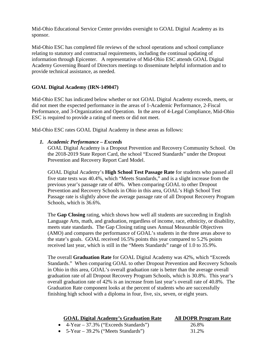Mid-Ohio Educational Service Center provides oversight to GOAL Digital Academy as its sponsor.

Mid-Ohio ESC has completed file reviews of the school operations and school compliance relating to statutory and contractual requirements, including the continual updating of information through Epicenter. A representative of Mid-Ohio ESC attends GOAL Digital Academy Governing Board of Directors meetings to disseminate helpful information and to provide technical assistance, as needed.

#### **GOAL Digital Academy (IRN-149047)**

Mid-Ohio ESC has indicated below whether or not GOAL Digital Academy exceeds, meets, or did not meet the expected performance in the areas of 1-Academic Performance, 2-Fiscal Performance, and 3-Organization and Operation. In the area of 4-Legal Compliance, Mid-Ohio ESC is required to provide a rating of meets or did not meet.

Mid-Ohio ESC rates GOAL Digital Academy in these areas as follows:

#### *1. Academic Performance – Exceeds*

GOAL Digital Academy is a Dropout Prevention and Recovery Community School. On the 2018-2019 State Report Card, the school "Exceed Standards" under the Dropout Prevention and Recovery Report Card Model.

GOAL Digital Academy's **High School Test Passage Rate** for students who passed all five state tests was 40.4%, which "Meets Standards," and is a slight increase from the previous year's passage rate of 40%. When comparing GOAL to other Dropout Prevention and Recovery Schools in Ohio in this area, GOAL's High School Test Passage rate is slightly above the average passage rate of all Dropout Recovery Program Schools, which is 36.6%.

The **Gap Closing** rating, which shows how well all students are succeeding in English Language Arts, math, and graduation, regardless of income, race, ethnicity, or disability, meets state standards. The Gap Closing rating uses Annual Measurable Objectives (AMO) and compares the performance of GOAL's students in the three areas above to the state's goals. GOAL received 16.5% points this year compared to 5.2% points received last year, which is still in the "Meets Standards" range of 1.0 to 35.9%.

The overall **Graduation Rate** for GOAL Digital Academy was 42%, which "Exceeds Standards." When comparing GOAL to other Dropout Prevention and Recovery Schools in Ohio in this area, GOAL's overall graduation rate is better than the average overall graduation rate of all Dropout Recovery Program Schools, which is 30.8%. This year's overall graduation rate of 42% is an increase from last year's overall rate of 40.8%. The Graduation Rate component looks at the percent of students who are successfully finishing high school with a diploma in four, five, six, seven, or eight years.

| <b>GOAL Digital Academy's Graduation Rate</b>  | <b>All DOPR Program Rate</b> |
|------------------------------------------------|------------------------------|
| $\bullet$ 4-Year – 37.3% ("Exceeds Standards") | 26.8%                        |
| • $5$ -Year – 39.2% ("Meets Standards")        | 31.2%                        |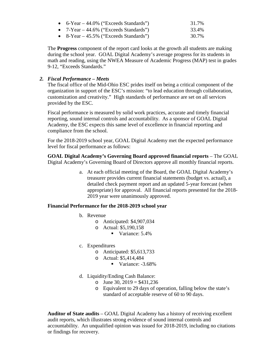| • $6$ -Year $-44.0\%$ ("Exceeds Standards") | 31.7% |
|---------------------------------------------|-------|
| • $7$ -Year $-$ 44.6% ("Exceeds Standards") | 33.4% |
| • $8$ -Year $-45.5\%$ ("Exceeds Standards") | 30.7% |

The **Progress** component of the report card looks at the growth all students are making during the school year. GOAL Digital Academy's average progress for its students in math and reading, using the NWEA Measure of Academic Progress (MAP) test in grades 9-12, "Exceeds Standards."

#### *2. Fiscal Performance – Meets*

The fiscal office of the Mid-Ohio ESC prides itself on being a critical component of the organization in support of the ESC's mission: "to lead education through collaboration, customization and creativity." High standards of performance are set on all services provided by the ESC.

Fiscal performance is measured by solid work practices, accurate and timely financial reporting, sound internal controls and accountability. As a sponsor of GOAL Digital Academy, the ESC expects this same level of excellence in financial reporting and compliance from the school.

For the 2018-2019 school year, GOAL Digital Academy met the expected performance level for fiscal performance as follows:

**GOAL Digital Academy's Governing Board approved financial reports** – The GOAL Digital Academy's Governing Board of Directors approve all monthly financial reports.

> a. At each official meeting of the Board, the GOAL Digital Academy's treasurer provides current financial statements (budget vs. actual), a detailed check payment report and an updated 5-year forecast (when appropriate) for approval. All financial reports presented for the 2018- 2019 year were unanimously approved.

#### **Financial Performance for the 2018-2019 school year**

- b. Revenue
	- o Anticipated: \$4,907,034
	- o Actual: \$5,190,158
		- Variance:  $5.4\%$
- c. Expenditures
	- o Anticipated: \$5,613,733
	- o Actual: \$5,414,484
		- Variance:  $-3.68\%$
- d. Liquidity/Ending Cash Balance:
	- o June 30,  $2019 = $431,236$
	- o Equivalent to 29 days of operation, falling below the state's standard of acceptable reserve of 60 to 90 days.

**Auditor of State audits** – GOAL Digital Academy has a history of receiving excellent audit reports, which illustrates strong evidence of sound internal controls and accountability. An unqualified opinion was issued for 2018-2019, including no citations or findings for recovery.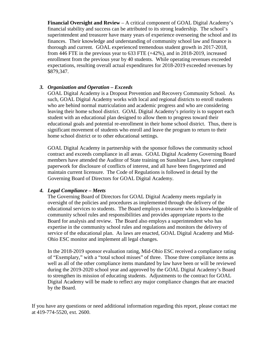**Financial Oversight and Review** – A critical component of GOAL Digital Academy's financial stability and success can be attributed to its strong leadership. The school's superintendent and treasurer have many years of experience overseeing the school and its finances. Their knowledge and understanding of community school law and finance is thorough and current. GOAL experienced tremendous student growth in 2017-2018, from 446 FTE in the previous year to 633 FTE (+42%), and in 2018-2019, increased enrollment from the previous year by 40 students. While operating revenues exceeded expectations, resulting overall actual expenditures for 2018-2019 exceeded revenues by \$879,347.

#### *3. Organization and Operation – Exceeds*

GOAL Digital Academy is a Dropout Prevention and Recovery Community School. As such, GOAL Digital Academy works with local and regional districts to enroll students who are behind normal matriculation and academic progress and who are considering leaving their home school district. GOAL Digital Academy's priority is to support each student with an educational plan designed to allow them to progress toward their educational goals and potential re-enrollment in their home school district. Thus, there is significant movement of students who enroll and leave the program to return to their home school district or to other educational settings.

GOAL Digital Academy in partnership with the sponsor follows the community school contract and exceeds compliance in all areas. GOAL Digital Academy Governing Board members have attended the Auditor of State training on Sunshine Laws, have completed paperwork for disclosure of conflicts of interest, and all have been fingerprinted and maintain current licensure. The Code of Regulations is followed in detail by the Governing Board of Directors for GOAL Digital Academy.

#### *4. Legal Compliance – Meets*

The Governing Board of Directors for GOAL Digital Academy meets regularly in oversight of the policies and procedures as implemented through the delivery of the educational services to students. The Board employs a treasurer who is knowledgeable of community school rules and responsibilities and provides appropriate reports to the Board for analysis and review. The Board also employs a superintendent who has expertise in the community school rules and regulations and monitors the delivery of service of the educational plan. As laws are enacted, GOAL Digital Academy and Mid-Ohio ESC monitor and implement all legal changes.

In the 2018-2019 sponsor evaluation rating, Mid-Ohio ESC received a compliance rating of "Exemplary," with a "total school misses" of three. Those three compliance items as well as all of the other compliance items mandated by law have been or will be reviewed during the 2019-2020 school year and approved by the GOAL Digital Academy's Board to strengthen its mission of educating students. Adjustments to the contract for GOAL Digital Academy will be made to reflect any major compliance changes that are enacted by the Board.

If you have any questions or need additional information regarding this report, please contact me at 419-774-5520, ext. 2600.